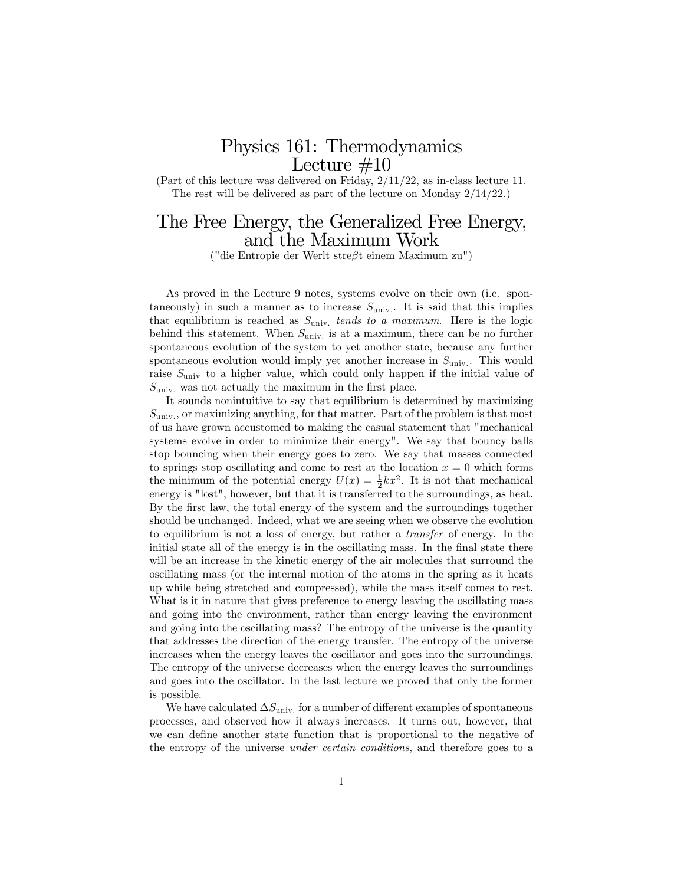## Physics 161: Thermodynamics Lecture  $\#10$

(Part of this lecture was delivered on Friday, 2/11/22, as in-class lecture 11. The rest will be delivered as part of the lecture on Monday 2/14/22.)

# The Free Energy, the Generalized Free Energy, and the Maximum Work

("die Entropie der Werlt stre $\beta$ t einem Maximum zu")

As proved in the Lecture 9 notes, systems evolve on their own (i.e. spontaneously) in such a manner as to increase  $S_{\text{univ}}$ . It is said that this implies that equilibrium is reached as  $S_{\text{univ}}$  tends to a maximum. Here is the logic behind this statement. When  $S_{\text{univ}}$  is at a maximum, there can be no further spontaneous evolution of the system to yet another state, because any further spontaneous evolution would imply yet another increase in  $S_{\text{univ}}$ . This would raise  $S_{\text{univ}}$  to a higher value, which could only happen if the initial value of  $S_{\text{univ}}$  was not actually the maximum in the first place.

It sounds nonintuitive to say that equilibrium is determined by maximizing  $S_{\text{univ}}$ , or maximizing anything, for that matter. Part of the problem is that most of us have grown accustomed to making the casual statement that "mechanical systems evolve in order to minimize their energy". We say that bouncy balls stop bouncing when their energy goes to zero. We say that masses connected to springs stop oscillating and come to rest at the location  $x = 0$  which forms the minimum of the potential energy  $U(x) = \frac{1}{2}kx^2$ . It is not that mechanical energy is "lost", however, but that it is transferred to the surroundings, as heat. By the first law, the total energy of the system and the surroundings together should be unchanged. Indeed, what we are seeing when we observe the evolution to equilibrium is not a loss of energy, but rather a transfer of energy. In the initial state all of the energy is in the oscillating mass. In the final state there will be an increase in the kinetic energy of the air molecules that surround the oscillating mass (or the internal motion of the atoms in the spring as it heats up while being stretched and compressed), while the mass itself comes to rest. What is it in nature that gives preference to energy leaving the oscillating mass and going into the environment, rather than energy leaving the environment and going into the oscillating mass? The entropy of the universe is the quantity that addresses the direction of the energy transfer. The entropy of the universe increases when the energy leaves the oscillator and goes into the surroundings. The entropy of the universe decreases when the energy leaves the surroundings and goes into the oscillator. In the last lecture we proved that only the former is possible.

We have calculated  $\Delta S_{\text{univ}}$  for a number of different examples of spontaneous processes, and observed how it always increases. It turns out, however, that we can define another state function that is proportional to the negative of the entropy of the universe under certain conditions, and therefore goes to a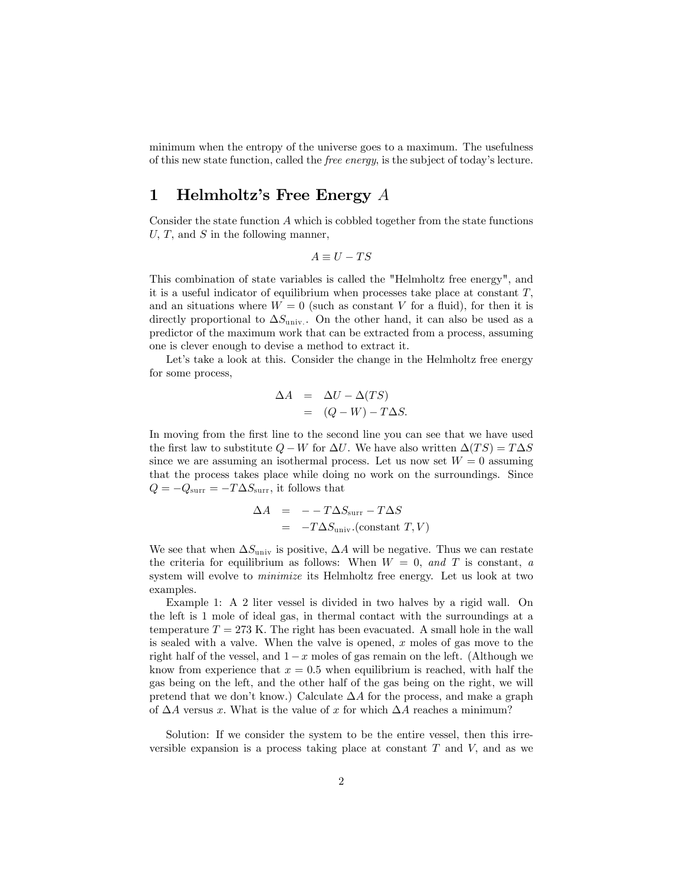minimum when the entropy of the universe goes to a maximum. The usefulness of this new state function, called the *free energy*, is the subject of today's lecture.

#### 1 Helmholtz's Free Energy  $A$

Consider the state function A which is cobbled together from the state functions U, T, and S in the following manner,

$$
A \equiv U - TS
$$

This combination of state variables is called the "Helmholtz free energy", and it is a useful indicator of equilibrium when processes take place at constant  $T$ , and an situations where  $W = 0$  (such as constant V for a fluid), for then it is directly proportional to  $\Delta S_{\text{univ}}$ . On the other hand, it can also be used as a predictor of the maximum work that can be extracted from a process, assuming one is clever enough to devise a method to extract it.

Let's take a look at this. Consider the change in the Helmholtz free energy for some process,

$$
\Delta A = \Delta U - \Delta (TS)
$$
  
=  $(Q - W) - T\Delta S.$ 

In moving from the first line to the second line you can see that we have used the first law to substitute  $Q - W$  for  $\Delta U$ . We have also written  $\Delta(T S) = T \Delta S$ since we are assuming an isothermal process. Let us now set  $W = 0$  assuming that the process takes place while doing no work on the surroundings. Since  $Q = -Q_{\text{surr}} = -T\Delta S_{\text{surr}}$ , it follows that

$$
\begin{array}{rcl}\n\Delta A & = & -T\Delta S_{\text{surr}} - T\Delta S \\
& = & -T\Delta S_{\text{univ}}.\text{(constant }T, V)\n\end{array}
$$

We see that when  $\Delta S_{\text{univ}}$  is positive,  $\Delta A$  will be negative. Thus we can restate the criteria for equilibrium as follows: When  $W = 0$ , and T is constant, a system will evolve to minimize its Helmholtz free energy. Let us look at two examples.

Example 1: A 2 liter vessel is divided in two halves by a rigid wall. On the left is 1 mole of ideal gas, in thermal contact with the surroundings at a temperature  $T = 273$  K. The right has been evacuated. A small hole in the wall is sealed with a valve. When the valve is opened, x moles of gas move to the right half of the vessel, and  $1-x$  moles of gas remain on the left. (Although we know from experience that  $x = 0.5$  when equilibrium is reached, with half the gas being on the left, and the other half of the gas being on the right, we will pretend that we don't know.) Calculate  $\Delta A$  for the process, and make a graph of  $\Delta A$  versus x. What is the value of x for which  $\Delta A$  reaches a minimum?

Solution: If we consider the system to be the entire vessel, then this irreversible expansion is a process taking place at constant  $T$  and  $V$ , and as we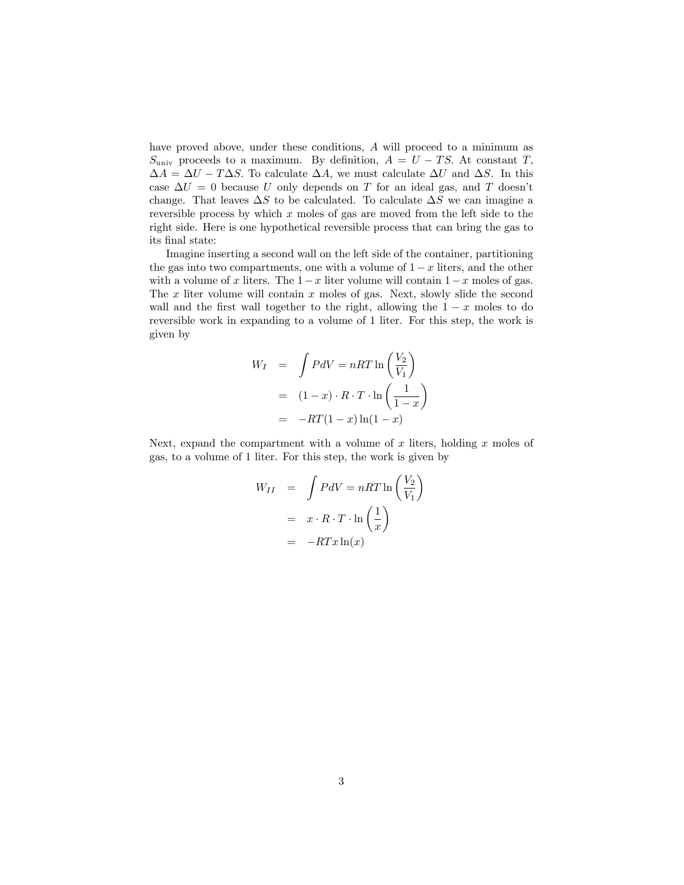have proved above, under these conditions, A will proceed to a minimum as  $S_{\text{univ}}$  proceeds to a maximum. By definition,  $A = U - TS$ . At constant T,  $\Delta A = \Delta U - T \Delta S$ . To calculate  $\Delta A$ , we must calculate  $\Delta U$  and  $\Delta S$ . In this case  $\Delta U = 0$  because U only depends on T for an ideal gas, and T doesn't change. That leaves  $\Delta S$  to be calculated. To calculate  $\Delta S$  we can imagine a reversible process by which  $x$  moles of gas are moved from the left side to the right side. Here is one hypothetical reversible process that can bring the gas to its final state:

Imagine inserting a second wall on the left side of the container, partitioning the gas into two compartments, one with a volume of  $1-x$  liters, and the other with a volume of x liters. The  $1-x$  liter volume will contain  $1-x$  moles of gas. The  $x$  liter volume will contain  $x$  moles of gas. Next, slowly slide the second wall and the first wall together to the right, allowing the  $1 - x$  moles to do reversible work in expanding to a volume of 1 liter. For this step, the work is given by

$$
W_I = \int P dV = nRT \ln \left( \frac{V_2}{V_1} \right)
$$
  
=  $(1-x) \cdot R \cdot T \cdot \ln \left( \frac{1}{1-x} \right)$   
=  $-RT(1-x) \ln(1-x)$ 

Next, expand the compartment with a volume of  $x$  liters, holding  $x$  moles of gas, to a volume of 1 liter. For this step, the work is given by

$$
W_{II} = \int PdV = nRT \ln\left(\frac{V_2}{V_1}\right)
$$

$$
= x \cdot R \cdot T \cdot \ln\left(\frac{1}{x}\right)
$$

$$
= -RTx \ln(x)
$$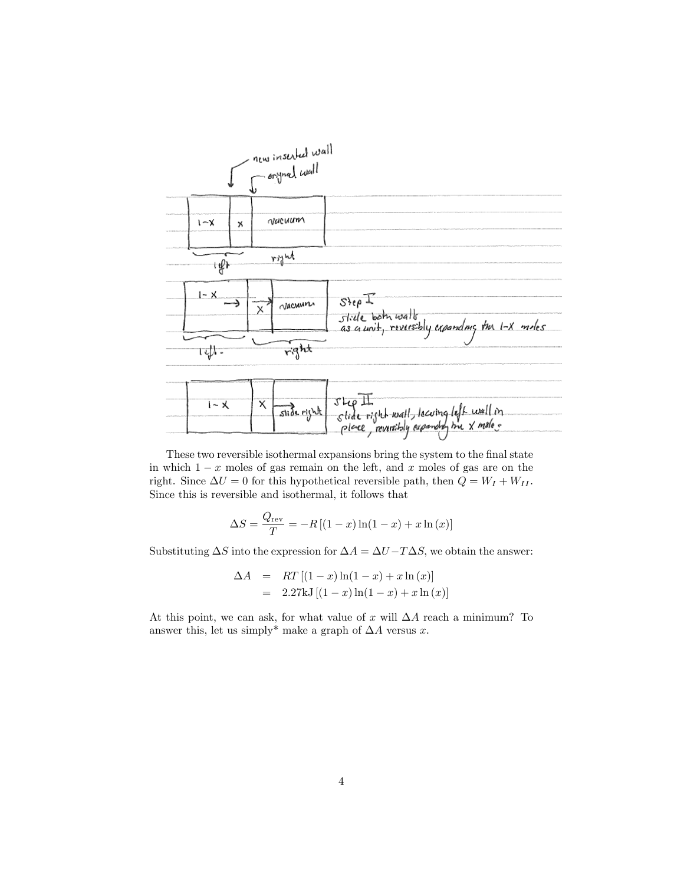

These two reversible isothermal expansions bring the system to the final state in which  $1 - x$  moles of gas remain on the left, and x moles of gas are on the right. Since  $\Delta U = 0$  for this hypothetical reversible path, then  $Q = W_I + W_{II}$ . Since this is reversible and isothermal, it follows that

$$
\Delta S = \frac{Q_{\text{rev}}}{T} = -R\left[ (1-x)\ln(1-x) + x\ln(x) \right]
$$

Substituting  $\Delta S$  into the expression for  $\Delta A = \Delta U - T \Delta S$ , we obtain the answer:

$$
\Delta A = RT [(1-x) \ln(1-x) + x \ln (x)]
$$
  
= 2.27kJ [(1-x) \ln(1-x) + x \ln (x)]

At this point, we can ask, for what value of x will  $\Delta A$  reach a minimum? To answer this, let us simply\* make a graph of  $\Delta A$  versus x.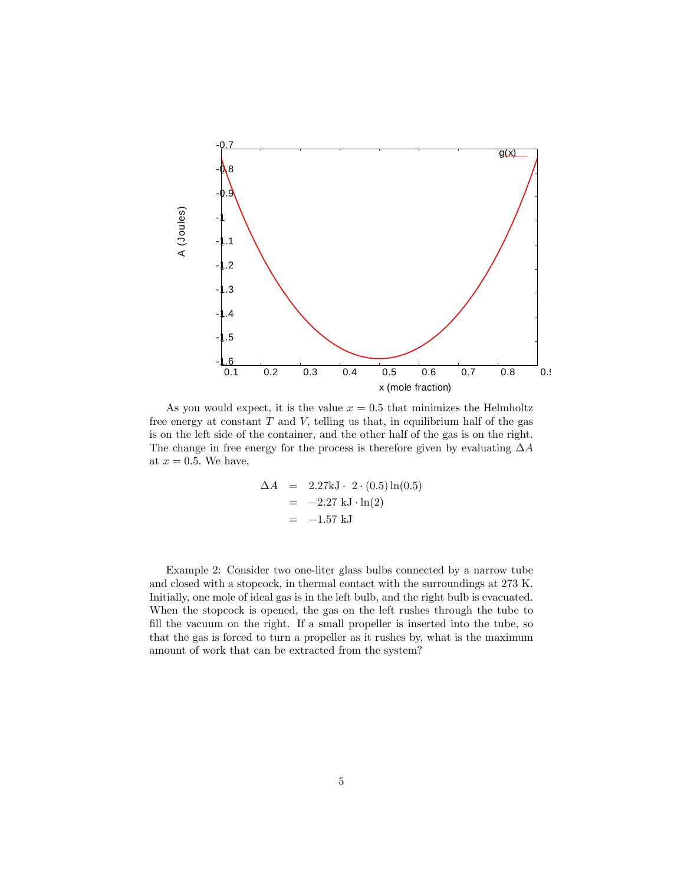

As you would expect, it is the value  $x = 0.5$  that minimizes the Helmholtz free energy at constant  $T$  and  $V$ , telling us that, in equilibrium half of the gas is on the left side of the container, and the other half of the gas is on the right. The change in free energy for the process is therefore given by evaluating  $\Delta A$ at  $x = 0.5$ . We have,

$$
\Delta A = 2.27 \text{kJ} \cdot 2 \cdot (0.5) \ln(0.5)
$$
  
= -2.27 kJ \cdot ln(2)  
= -1.57 kJ

Example 2: Consider two one-liter glass bulbs connected by a narrow tube and closed with a stopcock, in thermal contact with the surroundings at 273 K. Initially, one mole of ideal gas is in the left bulb, and the right bulb is evacuated. When the stopcock is opened, the gas on the left rushes through the tube to fill the vacuum on the right. If a small propeller is inserted into the tube, so that the gas is forced to turn a propeller as it rushes by, what is the maximum amount of work that can be extracted from the system?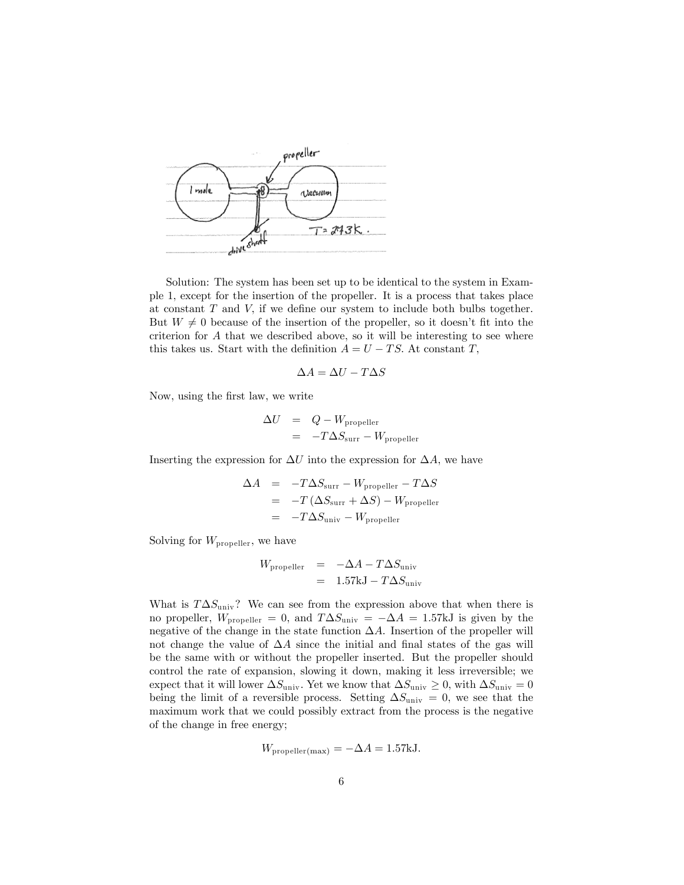

Solution: The system has been set up to be identical to the system in Example 1, except for the insertion of the propeller. It is a process that takes place at constant  $T$  and  $V$ , if we define our system to include both bulbs together. But  $W \neq 0$  because of the insertion of the propeller, so it doesn't fit into the criterion for A that we described above, so it will be interesting to see where this takes us. Start with the definition  $A = U - TS$ . At constant T,

$$
\Delta A = \Delta U - T\Delta S
$$

Now, using the Örst law, we write

$$
\Delta U = Q - W_{\text{propeller}}
$$
  
= 
$$
-T\Delta S_{\text{curr}} - W_{\text{propeller}}
$$

Inserting the expression for  $\Delta U$  into the expression for  $\Delta A$ , we have

$$
\Delta A = -T\Delta S_{\text{surr}} - W_{\text{propeller}} - T\Delta S
$$
  
= -T(\Delta S\_{\text{surr}} + \Delta S) - W\_{\text{propeller}}  
= -T\Delta S\_{\text{univ}} - W\_{\text{propeller}}

Solving for  $W_{\text{propeller}}$ , we have

$$
W_{\text{propeller}} = -\Delta A - T\Delta S_{\text{univ}}
$$
  
= 1.57kJ - T\Delta S\_{\text{univ}}

What is  $T\Delta S_{\text{univ}}$ ? We can see from the expression above that when there is no propeller,  $W_{\text{propeller}} = 0$ , and  $T \Delta S_{\text{univ}} = -\Delta A = 1.57 \text{kJ}$  is given by the negative of the change in the state function  $\Delta A$ . Insertion of the propeller will not change the value of  $\Delta A$  since the initial and final states of the gas will be the same with or without the propeller inserted. But the propeller should control the rate of expansion, slowing it down, making it less irreversible; we expect that it will lower  $\Delta S_{\text{univ}}$ . Yet we know that  $\Delta S_{\text{univ}} \geq 0$ , with  $\Delta S_{\text{univ}} = 0$ being the limit of a reversible process. Setting  $\Delta S_{\text{univ}} = 0$ , we see that the maximum work that we could possibly extract from the process is the negative of the change in free energy;

$$
W_{\text{propeller(max)}} = -\Delta A = 1.57 \text{kJ}.
$$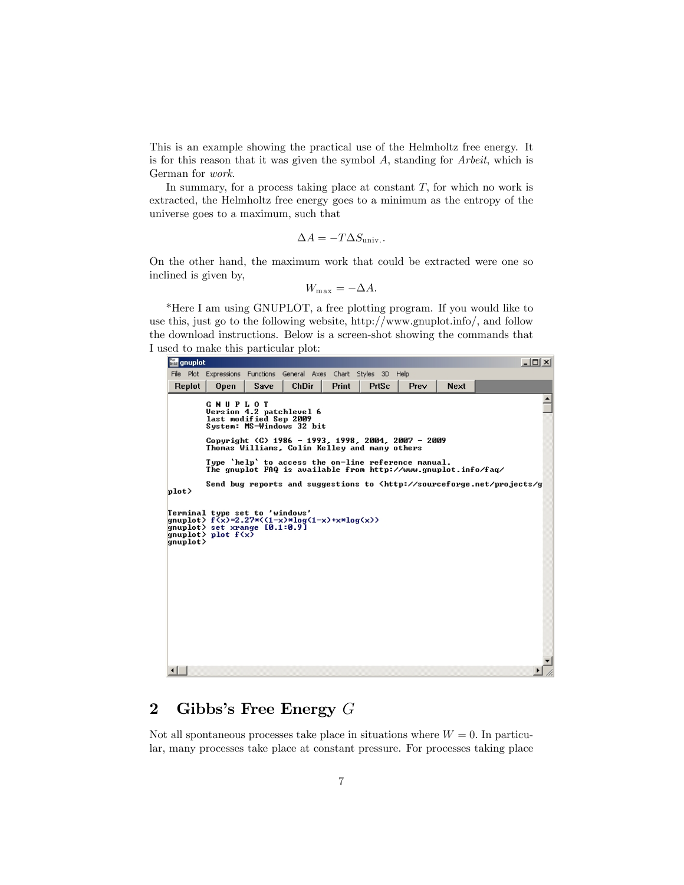This is an example showing the practical use of the Helmholtz free energy. It is for this reason that it was given the symbol  $A$ , standing for  $Arbeit$ , which is German for work.

In summary, for a process taking place at constant  $T$ , for which no work is extracted, the Helmholtz free energy goes to a minimum as the entropy of the universe goes to a maximum, such that

$$
\Delta A = -T\Delta S_{\text{univ.}}.
$$

On the other hand, the maximum work that could be extracted were one so inclined is given by,

$$
W_{\max} = -\Delta A.
$$

\*Here I am using GNUPLOT, a free plotting program. If you would like to use this, just go to the following website, http://www.gnuplot.info/, and follow the download instructions. Below is a screen-shot showing the commands that I used to make this particular plot:



## 2 Gibbs's Free Energy  $G$

Not all spontaneous processes take place in situations where  $W = 0$ . In particular, many processes take place at constant pressure. For processes taking place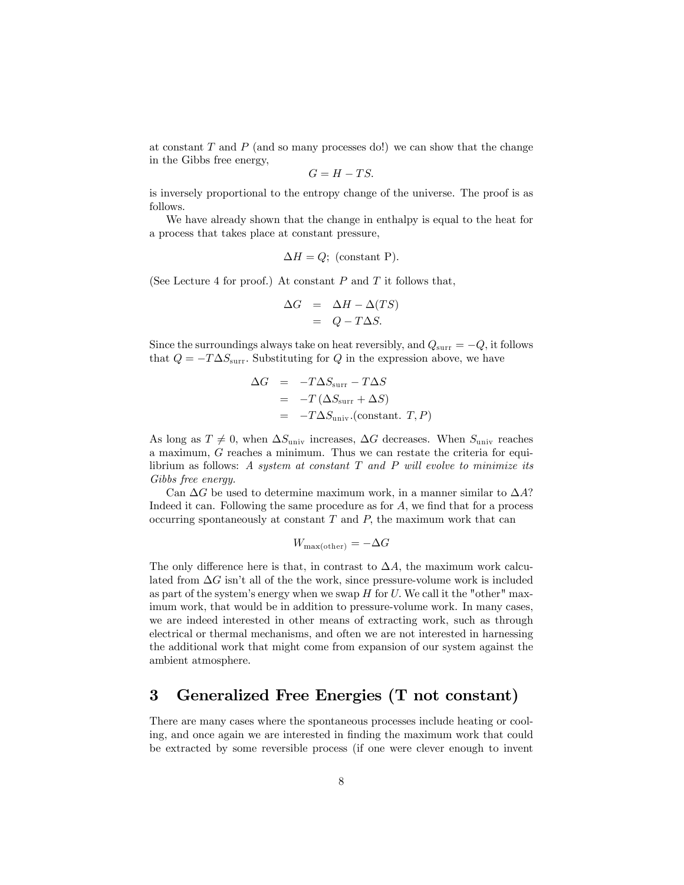at constant  $T$  and  $P$  (and so many processes do!) we can show that the change in the Gibbs free energy,

$$
G = H - TS.
$$

is inversely proportional to the entropy change of the universe. The proof is as follows.

We have already shown that the change in enthalpy is equal to the heat for a process that takes place at constant pressure,

$$
\Delta H = Q
$$
; (constant P).

(See Lecture 4 for proof.) At constant  $P$  and  $T$  it follows that,

$$
\Delta G = \Delta H - \Delta (TS) \n= Q - T \Delta S.
$$

Since the surroundings always take on heat reversibly, and  $Q_{\text{surr}} = -Q$ , it follows that  $Q = -T\Delta S_{\text{surr}}$ . Substituting for Q in the expression above, we have

$$
\Delta G = -T\Delta S_{\text{surr}} - T\Delta S
$$
  
= -T (\Delta S\_{\text{surr}} + \Delta S)  
= -T\Delta S\_{\text{univ}}. \text{(constant. } T, P)

As long as  $T \neq 0$ , when  $\Delta S_{\text{univ}}$  increases,  $\Delta G$  decreases. When  $S_{\text{univ}}$  reaches a maximum, G reaches a minimum. Thus we can restate the criteria for equilibrium as follows: A system at constant  $T$  and  $P$  will evolve to minimize its Gibbs free energy.

Can  $\Delta G$  be used to determine maximum work, in a manner similar to  $\Delta A$ ? Indeed it can. Following the same procedure as for  $A$ , we find that for a process occurring spontaneously at constant  $T$  and  $P$ , the maximum work that can

$$
W_{\rm max(other)} = -\Delta G
$$

The only difference here is that, in contrast to  $\Delta A$ , the maximum work calculated from  $\Delta G$  isn't all of the the work, since pressure-volume work is included as part of the system's energy when we swap  $H$  for  $U$ . We call it the "other" maximum work, that would be in addition to pressure-volume work. In many cases, we are indeed interested in other means of extracting work, such as through electrical or thermal mechanisms, and often we are not interested in harnessing the additional work that might come from expansion of our system against the ambient atmosphere.

## 3 Generalized Free Energies (T not constant)

There are many cases where the spontaneous processes include heating or cooling, and once again we are interested in finding the maximum work that could be extracted by some reversible process (if one were clever enough to invent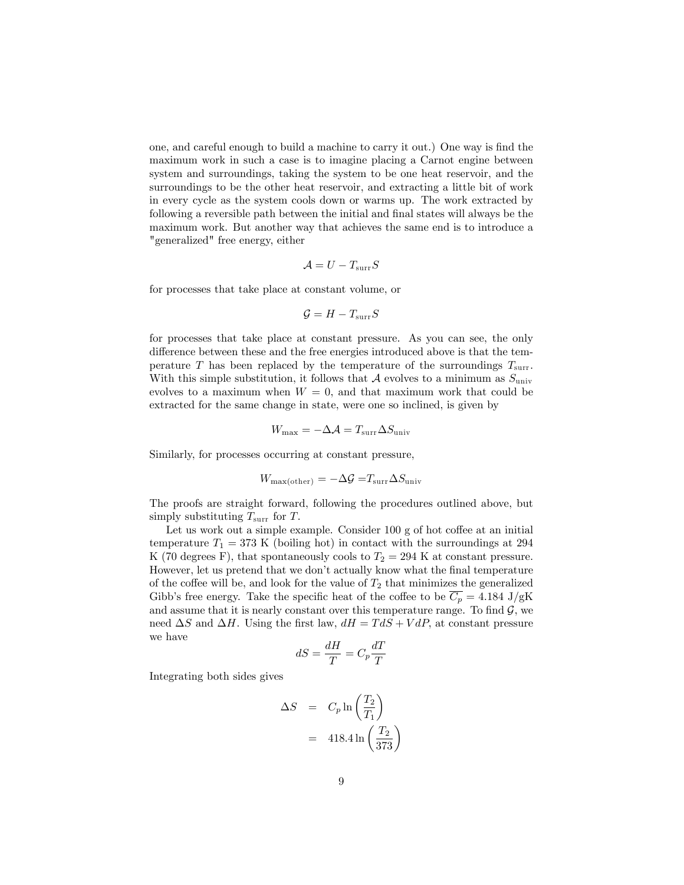one, and careful enough to build a machine to carry it out.) One way is find the maximum work in such a case is to imagine placing a Carnot engine between system and surroundings, taking the system to be one heat reservoir, and the surroundings to be the other heat reservoir, and extracting a little bit of work in every cycle as the system cools down or warms up. The work extracted by following a reversible path between the initial and final states will always be the maximum work. But another way that achieves the same end is to introduce a "generalized" free energy, either

$$
\mathcal{A}=U-T_{\rm{surr}}S
$$

for processes that take place at constant volume, or

$$
\mathcal{G}=H-T_{\rm{surr}}S
$$

for processes that take place at constant pressure. As you can see, the only difference between these and the free energies introduced above is that the temperature T has been replaced by the temperature of the surroundings  $T_{\text{surr}}$ . With this simple substitution, it follows that A evolves to a minimum as  $S_{\text{univ}}$ evolves to a maximum when  $W = 0$ , and that maximum work that could be extracted for the same change in state, were one so inclined, is given by

$$
W_{\rm max} = -\Delta \mathcal{A} = T_{\rm surr} \Delta S_{\rm univ}
$$

Similarly, for processes occurring at constant pressure,

$$
W_{\text{max}(\text{other})} = -\Delta \mathcal{G} = T_{\text{surr}} \Delta S_{\text{univ}}
$$

The proofs are straight forward, following the procedures outlined above, but simply substituting  $T_{\text{surr}}$  for T.

Let us work out a simple example. Consider  $100 g$  of hot coffee at an initial temperature  $T_1 = 373$  K (boiling hot) in contact with the surroundings at 294 K (70 degrees F), that spontaneously cools to  $T_2 = 294$  K at constant pressure. However, let us pretend that we don't actually know what the final temperature of the coffee will be, and look for the value of  $T_2$  that minimizes the generalized Gibb's free energy. Take the specific heat of the coffee to be  $\overline{C_p} = 4.184 \text{ J/gK}$ and assume that it is nearly constant over this temperature range. To find  $\mathcal{G}$ , we need  $\Delta S$  and  $\Delta H$ . Using the first law,  $dH = T dS + V dP$ , at constant pressure we have

$$
dS = \frac{dH}{T} = C_p \frac{dT}{T}
$$

Integrating both sides gives

$$
\Delta S = C_p \ln \left( \frac{T_2}{T_1} \right)
$$
  
= 418.4 \ln \left( \frac{T\_2}{373} \right)